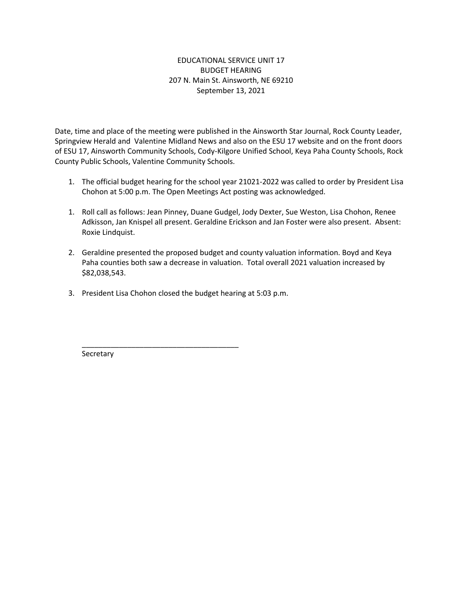## EDUCATIONAL SERVICE UNIT 17 BUDGET HEARING 207 N. Main St. Ainsworth, NE 69210 September 13, 2021

Date, time and place of the meeting were published in the Ainsworth Star Journal, Rock County Leader, Springview Herald and Valentine Midland News and also on the ESU 17 website and on the front doors of ESU 17, Ainsworth Community Schools, Cody-Kilgore Unified School, Keya Paha County Schools, Rock County Public Schools, Valentine Community Schools.

- 1. The official budget hearing for the school year 21021-2022 was called to order by President Lisa Chohon at 5:00 p.m. The Open Meetings Act posting was acknowledged.
- 1. Roll call as follows: Jean Pinney, Duane Gudgel, Jody Dexter, Sue Weston, Lisa Chohon, Renee Adkisson, Jan Knispel all present. Geraldine Erickson and Jan Foster were also present. Absent: Roxie Lindquist.
- 2. Geraldine presented the proposed budget and county valuation information. Boyd and Keya Paha counties both saw a decrease in valuation. Total overall 2021 valuation increased by \$82,038,543.
- 3. President Lisa Chohon closed the budget hearing at 5:03 p.m.

\_\_\_\_\_\_\_\_\_\_\_\_\_\_\_\_\_\_\_\_\_\_\_\_\_\_\_\_\_\_\_\_\_\_\_\_\_\_

**Secretary**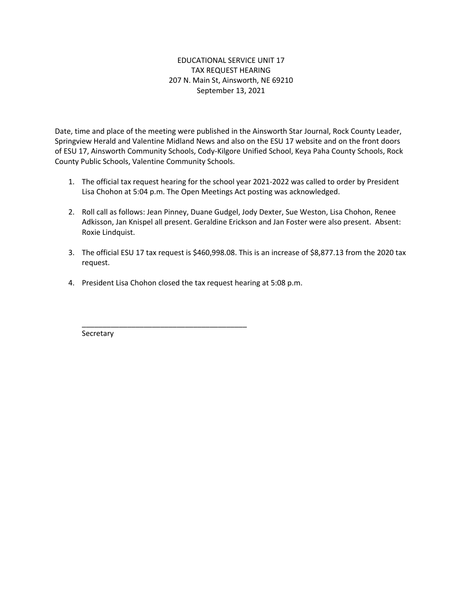## EDUCATIONAL SERVICE UNIT 17 TAX REQUEST HEARING 207 N. Main St, Ainsworth, NE 69210 September 13, 2021

Date, time and place of the meeting were published in the Ainsworth Star Journal, Rock County Leader, Springview Herald and Valentine Midland News and also on the ESU 17 website and on the front doors of ESU 17, Ainsworth Community Schools, Cody-Kilgore Unified School, Keya Paha County Schools, Rock County Public Schools, Valentine Community Schools.

- 1. The official tax request hearing for the school year 2021-2022 was called to order by President Lisa Chohon at 5:04 p.m. The Open Meetings Act posting was acknowledged.
- 2. Roll call as follows: Jean Pinney, Duane Gudgel, Jody Dexter, Sue Weston, Lisa Chohon, Renee Adkisson, Jan Knispel all present. Geraldine Erickson and Jan Foster were also present. Absent: Roxie Lindquist.
- 3. The official ESU 17 tax request is \$460,998.08. This is an increase of \$8,877.13 from the 2020 tax request.
- 4. President Lisa Chohon closed the tax request hearing at 5:08 p.m.

\_\_\_\_\_\_\_\_\_\_\_\_\_\_\_\_\_\_\_\_\_\_\_\_\_\_\_\_\_\_\_\_\_\_\_\_\_\_\_\_

Secretary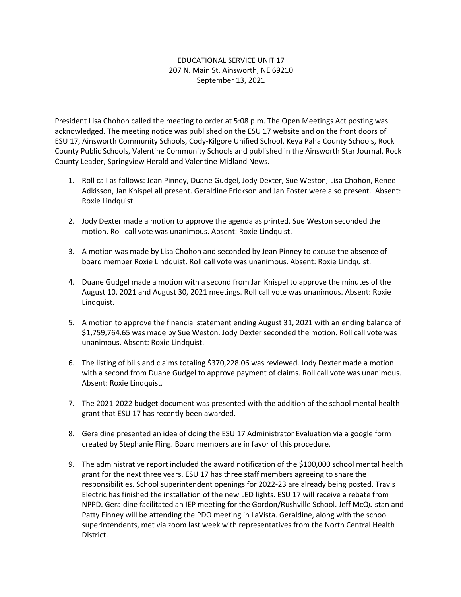## EDUCATIONAL SERVICE UNIT 17 207 N. Main St. Ainsworth, NE 69210 September 13, 2021

President Lisa Chohon called the meeting to order at 5:08 p.m. The Open Meetings Act posting was acknowledged. The meeting notice was published on the ESU 17 website and on the front doors of ESU 17, Ainsworth Community Schools, Cody-Kilgore Unified School, Keya Paha County Schools, Rock County Public Schools, Valentine Community Schools and published in the Ainsworth Star Journal, Rock County Leader, Springview Herald and Valentine Midland News.

- 1. Roll call as follows: Jean Pinney, Duane Gudgel, Jody Dexter, Sue Weston, Lisa Chohon, Renee Adkisson, Jan Knispel all present. Geraldine Erickson and Jan Foster were also present. Absent: Roxie Lindquist.
- 2. Jody Dexter made a motion to approve the agenda as printed. Sue Weston seconded the motion. Roll call vote was unanimous. Absent: Roxie Lindquist.
- 3. A motion was made by Lisa Chohon and seconded by Jean Pinney to excuse the absence of board member Roxie Lindquist. Roll call vote was unanimous. Absent: Roxie Lindquist.
- 4. Duane Gudgel made a motion with a second from Jan Knispel to approve the minutes of the August 10, 2021 and August 30, 2021 meetings. Roll call vote was unanimous. Absent: Roxie Lindquist.
- 5. A motion to approve the financial statement ending August 31, 2021 with an ending balance of \$1,759,764.65 was made by Sue Weston. Jody Dexter seconded the motion. Roll call vote was unanimous. Absent: Roxie Lindquist.
- 6. The listing of bills and claims totaling \$370,228.06 was reviewed. Jody Dexter made a motion with a second from Duane Gudgel to approve payment of claims. Roll call vote was unanimous. Absent: Roxie Lindquist.
- 7. The 2021-2022 budget document was presented with the addition of the school mental health grant that ESU 17 has recently been awarded.
- 8. Geraldine presented an idea of doing the ESU 17 Administrator Evaluation via a google form created by Stephanie Fling. Board members are in favor of this procedure.
- 9. The administrative report included the award notification of the \$100,000 school mental health grant for the next three years. ESU 17 has three staff members agreeing to share the responsibilities. School superintendent openings for 2022-23 are already being posted. Travis Electric has finished the installation of the new LED lights. ESU 17 will receive a rebate from NPPD. Geraldine facilitated an IEP meeting for the Gordon/Rushville School. Jeff McQuistan and Patty Finney will be attending the PDO meeting in LaVista. Geraldine, along with the school superintendents, met via zoom last week with representatives from the North Central Health District.